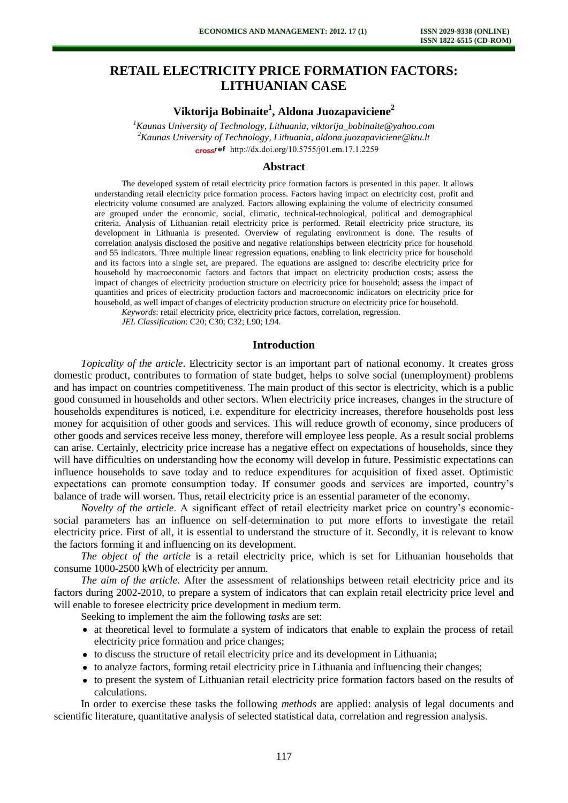# **RETAIL ELECTRICITY PRICE FORMATION FACTORS: LITHUANIAN CASE**

**Viktorija Bobinaite 1 , Aldona Juozapaviciene 2**

*<sup>1</sup>Kaunas University of Technology, Lithuania, viktorija\_bobinaite@yahoo.com <sup>2</sup>Kaunas University of Technology, Lithuania, aldona.juozapaviciene@ktu.lt* cross<sup>ref</sup> [http://dx.doi.org/10.5755/j01.e](http://dx.doi.org/10.5755/j01.em.17.1.2259)m.17.1.2259

## **Abstract**

The developed system of retail electricity price formation factors is presented in this paper. It allows understanding retail electricity price formation process. Factors having impact on electricity cost, profit and electricity volume consumed are analyzed. Factors allowing explaining the volume of electricity consumed are grouped under the economic, social, climatic, technical-technological, political and demographical criteria. Analysis of Lithuanian retail electricity price is performed. Retail electricity price structure, its development in Lithuania is presented. Overview of regulating environment is done. The results of correlation analysis disclosed the positive and negative relationships between electricity price for household and 55 indicators. Three multiple linear regression equations, enabling to link electricity price for household and its factors into a single set, are prepared. The equations are assigned to: describe electricity price for household by macroeconomic factors and factors that impact on electricity production costs; assess the impact of changes of electricity production structure on electricity price for household; assess the impact of quantities and prices of electricity production factors and macroeconomic indicators on electricity price for household, as well impact of changes of electricity production structure on electricity price for household.

*Keywords*: retail electricity price, electricity price factors, correlation, regression.

*JEL Classification*: C20; C30; C32; L90; L94.

#### **Introduction**

*Topicality of the article*. Electricity sector is an important part of national economy. It creates gross domestic product, contributes to formation of state budget, helps to solve social (unemployment) problems and has impact on countries competitiveness. The main product of this sector is electricity, which is a public good consumed in households and other sectors. When electricity price increases, changes in the structure of households expenditures is noticed, i.e. expenditure for electricity increases, therefore households post less money for acquisition of other goods and services. This will reduce growth of economy, since producers of other goods and services receive less money, therefore will employee less people. As a result social problems can arise. Certainly, electricity price increase has a negative effect on expectations of households, since they will have difficulties on understanding how the economy will develop in future. Pessimistic expectations can influence households to save today and to reduce expenditures for acquisition of fixed asset. Optimistic expectations can promote consumption today. If consumer goods and services are imported, country's balance of trade will worsen. Thus, retail electricity price is an essential parameter of the economy.

*Novelty of the article*. A significant effect of retail electricity market price on country's economicsocial parameters has an influence on self-determination to put more efforts to investigate the retail electricity price. First of all, it is essential to understand the structure of it. Secondly, it is relevant to know the factors forming it and influencing on its development.

*The object of the article* is a retail electricity price, which is set for Lithuanian households that consume 1000-2500 kWh of electricity per annum.

*The aim of the article*. After the assessment of relationships between retail electricity price and its factors during 2002-2010, to prepare a system of indicators that can explain retail electricity price level and will enable to foresee electricity price development in medium term.

Seeking to implement the aim the following *tasks* are set:

- at theoretical level to formulate a system of indicators that enable to explain the process of retail electricity price formation and price changes;
- to discuss the structure of retail electricity price and its development in Lithuania;
- to analyze factors, forming retail electricity price in Lithuania and influencing their changes;
- to present the system of Lithuanian retail electricity price formation factors based on the results of calculations.

In order to exercise these tasks the following *methods* are applied: analysis of legal documents and scientific literature, quantitative analysis of selected statistical data, correlation and regression analysis.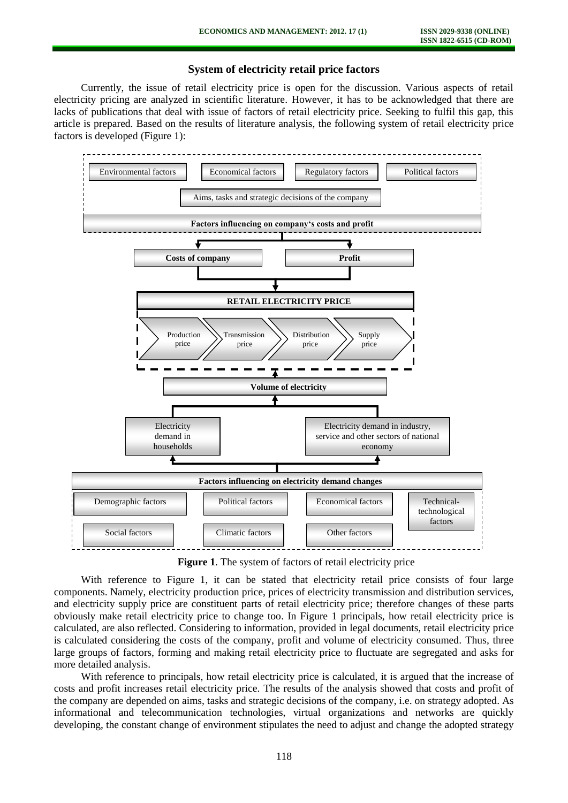# **System of electricity retail price factors**

Currently, the issue of retail electricity price is open for the discussion. Various aspects of retail electricity pricing are analyzed in scientific literature. However, it has to be acknowledged that there are lacks of publications that deal with issue of factors of retail electricity price. Seeking to fulfil this gap, this article is prepared. Based on the results of literature analysis, the following system of retail electricity price factors is developed (Figure 1):



**Figure 1**. The system of factors of retail electricity price

With reference to Figure 1, it can be stated that electricity retail price consists of four large components. Namely, electricity production price, prices of electricity transmission and distribution services, and electricity supply price are constituent parts of retail electricity price; therefore changes of these parts obviously make retail electricity price to change too. In Figure 1 principals, how retail electricity price is calculated, are also reflected. Considering to information, provided in legal documents, retail electricity price is calculated considering the costs of the company, profit and volume of electricity consumed. Thus, three large groups of factors, forming and making retail electricity price to fluctuate are segregated and asks for more detailed analysis.

With reference to principals, how retail electricity price is calculated, it is argued that the increase of costs and profit increases retail electricity price. The results of the analysis showed that costs and profit of the company are depended on aims, tasks and strategic decisions of the company, i.e. on strategy adopted. As informational and telecommunication technologies, virtual organizations and networks are quickly developing, the constant change of environment stipulates the need to adjust and change the adopted strategy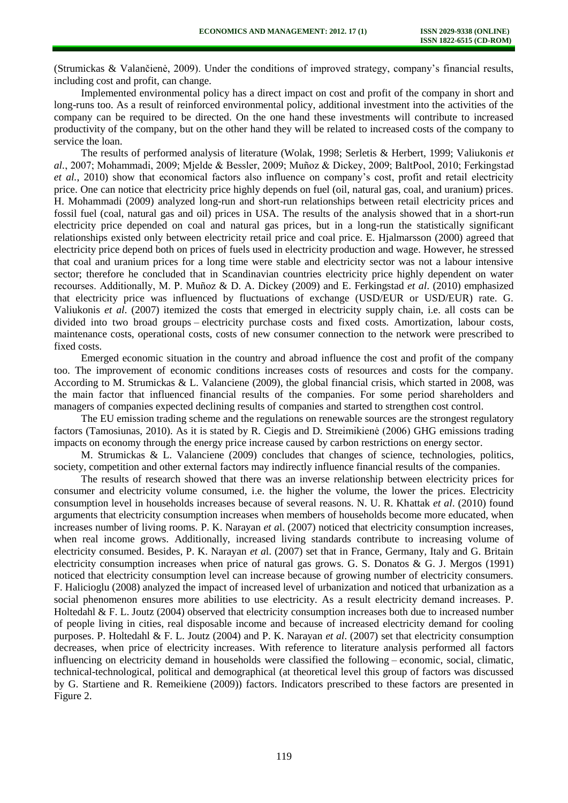(Strumickas & Valančienė, 2009). Under the conditions of improved strategy, company's financial results, including cost and profit, can change.

Implemented environmental policy has a direct impact on cost and profit of the company in short and long-runs too. As a result of reinforced environmental policy, additional investment into the activities of the company can be required to be directed. On the one hand these investments will contribute to increased productivity of the company, but on the other hand they will be related to increased costs of the company to service the loan.

The results of performed analysis of literature (Wolak, 1998; Serletis & Herbert, 1999; Valiukonis *et al.*, 2007; Mohammadi, 2009; Mjelde & Bessler, 2009; Muñoz & Dickey, 2009; BaltPool, 2010; Ferkingstad *et al.*, 2010) show that economical factors also influence on company's cost, profit and retail electricity price. One can notice that electricity price highly depends on fuel (oil, natural gas, coal, and uranium) prices. H. Mohammadi (2009) analyzed long-run and short-run relationships between retail electricity prices and fossil fuel (coal, natural gas and oil) prices in USA. The results of the analysis showed that in a short-run electricity price depended on coal and natural gas prices, but in a long-run the statistically significant relationships existed only between electricity retail price and coal price. E. Hjalmarsson (2000) agreed that electricity price depend both on prices of fuels used in electricity production and wage. However, he stressed that coal and uranium prices for a long time were stable and electricity sector was not a labour intensive sector; therefore he concluded that in Scandinavian countries electricity price highly dependent on water recourses. Additionally, M. P. Muñoz & D. A. Dickey (2009) and E. Ferkingstad *et al*. (2010) emphasized that electricity price was influenced by fluctuations of exchange (USD/EUR or USD/EUR) rate. G. Valiukonis *et al*. (2007) itemized the costs that emerged in electricity supply chain, i.e. all costs can be divided into two broad groups – electricity purchase costs and fixed costs. Amortization, labour costs, maintenance costs, operational costs, costs of new consumer connection to the network were prescribed to fixed costs.

Emerged economic situation in the country and abroad influence the cost and profit of the company too. The improvement of economic conditions increases costs of resources and costs for the company. According to M. Strumickas & L. Valanciene (2009), the global financial crisis, which started in 2008, was the main factor that influenced financial results of the companies. For some period shareholders and managers of companies expected declining results of companies and started to strengthen cost control.

The EU emission trading scheme and the regulations on renewable sources are the strongest regulatory factors (Tamosiunas, 2010). As it is stated by R. Ciegis and D. Streimikienė (2006) GHG emissions trading impacts on economy through the energy price increase caused by carbon restrictions on energy sector.

M. Strumickas & L. Valanciene (2009) concludes that changes of science, technologies, politics, society, competition and other external factors may indirectly influence financial results of the companies.

The results of research showed that there was an inverse relationship between electricity prices for consumer and electricity volume consumed, i.e. the higher the volume, the lower the prices. Electricity consumption level in households increases because of several reasons. N. U. R. Khattak *et al*. (2010) found arguments that electricity consumption increases when members of households become more educated, when increases number of living rooms. P. K. Narayan *et a*l. (2007) noticed that electricity consumption increases, when real income grows. Additionally, increased living standards contribute to increasing volume of electricity consumed. Besides, P. K. Narayan *et a*l. (2007) set that in France, Germany, Italy and G. Britain electricity consumption increases when price of natural gas grows. G. S. Donatos & G. J. Mergos (1991) noticed that electricity consumption level can increase because of growing number of electricity consumers. F. Halicioglu (2008) analyzed the impact of increased level of urbanization and noticed that urbanization as a social phenomenon ensures more abilities to use electricity. As a result electricity demand increases. P. Holtedahl & F. L. Joutz (2004) observed that electricity consumption increases both due to increased number of people living in cities, real disposable income and because of increased electricity demand for cooling purposes. P. Holtedahl & F. L. Joutz (2004) and P. K. Narayan *et al*. (2007) set that electricity consumption decreases, when price of electricity increases. With reference to literature analysis performed all factors influencing on electricity demand in households were classified the following – economic, social, climatic, technical-technological, political and demographical (at theoretical level this group of factors was discussed by G. Startiene and R. Remeikiene (2009)) factors. Indicators prescribed to these factors are presented in Figure 2.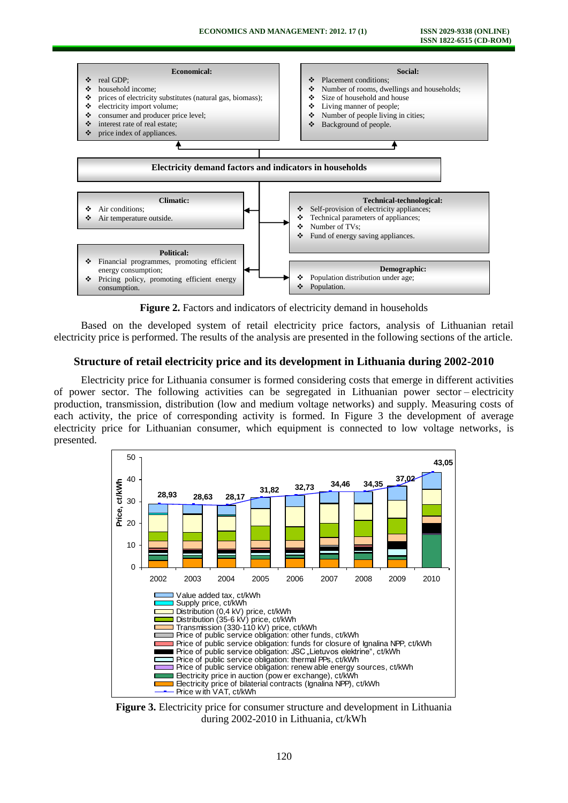

**Figure 2.** Factors and indicators of electricity demand in households

Based on the developed system of retail electricity price factors, analysis of Lithuanian retail electricity price is performed. The results of the analysis are presented in the following sections of the article.

### **Structure of retail electricity price and its development in Lithuania during 2002-2010**

Electricity price for Lithuania consumer is formed considering costs that emerge in different activities of power sector. The following activities can be segregated in Lithuanian power sector – electricity production, transmission, distribution (low and medium voltage networks) and supply. Measuring costs of each activity, the price of corresponding activity is formed. In Figure 3 the development of average electricity price for Lithuanian consumer, which equipment is connected to low voltage networks, is presented.



**Figure 3.** Electricity price for consumer structure and development in Lithuania during 2002-2010 in Lithuania, ct/kWh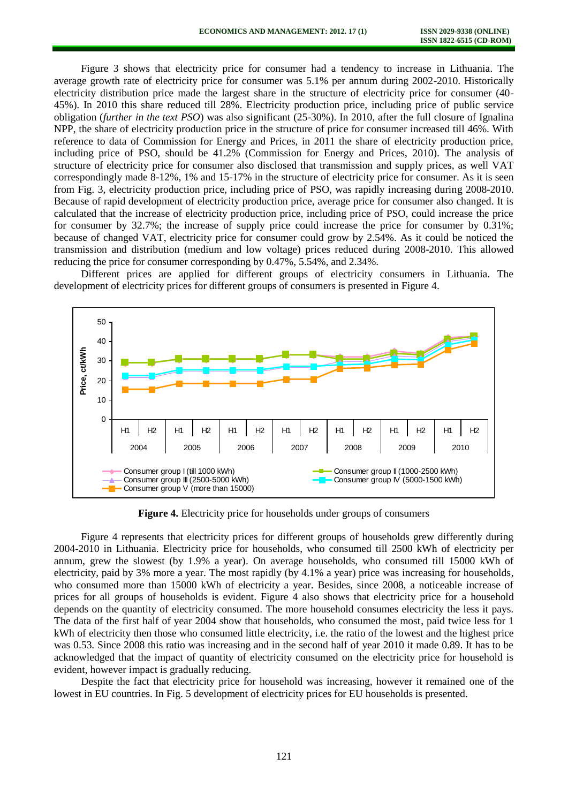Figure 3 shows that electricity price for consumer had a tendency to increase in Lithuania. The average growth rate of electricity price for consumer was 5.1% per annum during 2002-2010. Historically electricity distribution price made the largest share in the structure of electricity price for consumer (40- 45%). In 2010 this share reduced till 28%. Electricity production price, including price of public service obligation (*further in the text PSO*) was also significant (25-30%). In 2010, after the full closure of Ignalina NPP, the share of electricity production price in the structure of price for consumer increased till 46%. With reference to data of Commission for Energy and Prices, in 2011 the share of electricity production price, including price of PSO, should be 41.2% (Commission for Energy and Prices, 2010). The analysis of structure of electricity price for consumer also disclosed that transmission and supply prices, as well VAT correspondingly made 8-12%, 1% and 15-17% in the structure of electricity price for consumer. As it is seen from Fig. 3, electricity production price, including price of PSO, was rapidly increasing during 2008-2010. Because of rapid development of electricity production price, average price for consumer also changed. It is calculated that the increase of electricity production price, including price of PSO, could increase the price for consumer by 32.7%; the increase of supply price could increase the price for consumer by 0.31%; because of changed VAT, electricity price for consumer could grow by 2.54%. As it could be noticed the transmission and distribution (medium and low voltage) prices reduced during 2008-2010. This allowed reducing the price for consumer corresponding by 0.47%, 5.54%, and 2.34%.

Different prices are applied for different groups of electricity consumers in Lithuania. The development of electricity prices for different groups of consumers is presented in Figure 4.



**Figure 4.** Electricity price for households under groups of consumers

Figure 4 represents that electricity prices for different groups of households grew differently during 2004-2010 in Lithuania. Electricity price for households, who consumed till 2500 kWh of electricity per annum, grew the slowest (by 1.9% a year). On average households, who consumed till 15000 kWh of electricity, paid by 3% more a year. The most rapidly (by 4.1% a year) price was increasing for households, who consumed more than 15000 kWh of electricity a year. Besides, since 2008, a noticeable increase of prices for all groups of households is evident. Figure 4 also shows that electricity price for a household depends on the quantity of electricity consumed. The more household consumes electricity the less it pays. The data of the first half of year 2004 show that households, who consumed the most, paid twice less for 1 kWh of electricity then those who consumed little electricity, i.e. the ratio of the lowest and the highest price was 0.53. Since 2008 this ratio was increasing and in the second half of year 2010 it made 0.89. It has to be acknowledged that the impact of quantity of electricity consumed on the electricity price for household is evident, however impact is gradually reducing.

Despite the fact that electricity price for household was increasing, however it remained one of the lowest in EU countries. In Fig. 5 development of electricity prices for EU households is presented.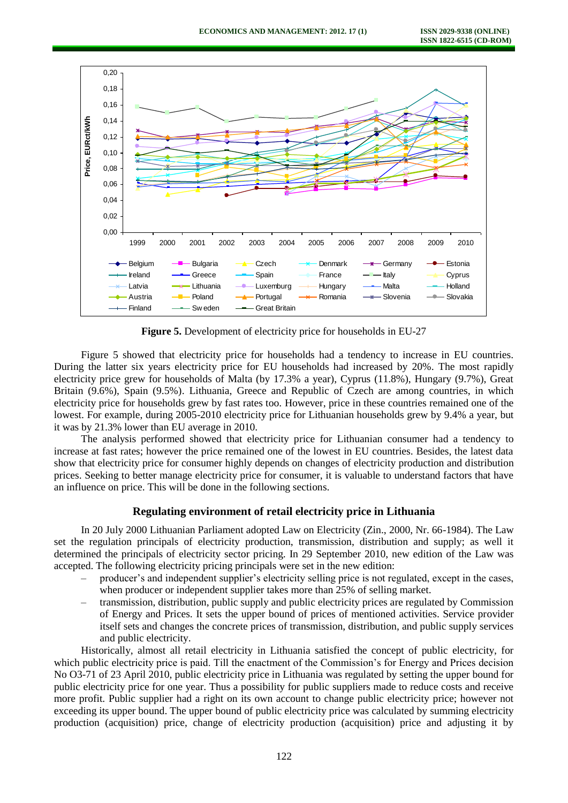

**Figure 5.** Development of electricity price for households in EU-27

Figure 5 showed that electricity price for households had a tendency to increase in EU countries. During the latter six years electricity price for EU households had increased by 20%. The most rapidly electricity price grew for households of Malta (by 17.3% a year), Cyprus (11.8%), Hungary (9.7%), Great Britain (9.6%), Spain (9.5%). Lithuania, Greece and Republic of Czech are among countries, in which electricity price for households grew by fast rates too. However, price in these countries remained one of the lowest. For example, during 2005-2010 electricity price for Lithuanian households grew by 9.4% a year, but it was by 21.3% lower than EU average in 2010.

The analysis performed showed that electricity price for Lithuanian consumer had a tendency to increase at fast rates; however the price remained one of the lowest in EU countries. Besides, the latest data show that electricity price for consumer highly depends on changes of electricity production and distribution prices. Seeking to better manage electricity price for consumer, it is valuable to understand factors that have an influence on price. This will be done in the following sections.

## **Regulating environment of retail electricity price in Lithuania**

In 20 July 2000 Lithuanian Parliament adopted Law on Electricity (Zin., 2000, Nr. 66-1984). The Law set the regulation principals of electricity production, transmission, distribution and supply; as well it determined the principals of electricity sector pricing. In 29 September 2010, new edition of the Law was accepted. The following electricity pricing principals were set in the new edition:

- producer's and independent supplier's electricity selling price is not regulated, except in the cases, when producer or independent supplier takes more than 25% of selling market.
- transmission, distribution, public supply and public electricity prices are regulated by Commission of Energy and Prices. It sets the upper bound of prices of mentioned activities. Service provider itself sets and changes the concrete prices of transmission, distribution, and public supply services and public electricity.

Historically, almost all retail electricity in Lithuania satisfied the concept of public electricity, for which public electricity price is paid. Till the enactment of the Commission's for Energy and Prices decision No O3-71 of 23 April 2010, public electricity price in Lithuania was regulated by setting the upper bound for public electricity price for one year. Thus a possibility for public suppliers made to reduce costs and receive more profit. Public supplier had a right on its own account to change public electricity price; however not exceeding its upper bound. The upper bound of public electricity price was calculated by summing electricity production (acquisition) price, change of electricity production (acquisition) price and adjusting it by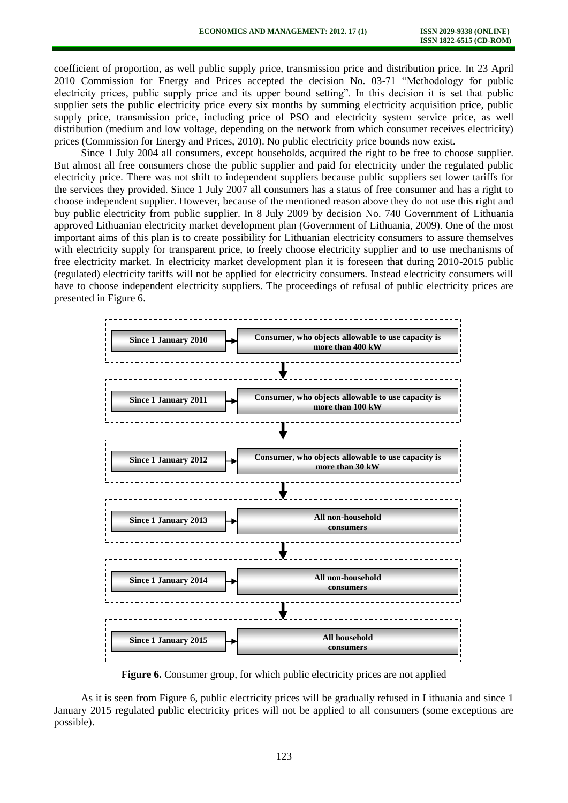coefficient of proportion, as well public supply price, transmission price and distribution price. In 23 April 2010 Commission for Energy and Prices accepted the decision No. 03-71 "Methodology for public electricity prices, public supply price and its upper bound setting". In this decision it is set that public supplier sets the public electricity price every six months by summing electricity acquisition price, public supply price, transmission price, including price of PSO and electricity system service price, as well distribution (medium and low voltage, depending on the network from which consumer receives electricity) prices (Commission for Energy and Prices, 2010). No public electricity price bounds now exist.

Since 1 July 2004 all consumers, except households, acquired the right to be free to choose supplier. But almost all free consumers chose the public supplier and paid for electricity under the regulated public electricity price. There was not shift to independent suppliers because public suppliers set lower tariffs for the services they provided. Since 1 July 2007 all consumers has a status of free consumer and has a right to choose independent supplier. However, because of the mentioned reason above they do not use this right and buy public electricity from public supplier. In 8 July 2009 by decision No. 740 Government of Lithuania approved Lithuanian electricity market development plan (Government of Lithuania, 2009). One of the most important aims of this plan is to create possibility for Lithuanian electricity consumers to assure themselves with electricity supply for transparent price, to freely choose electricity supplier and to use mechanisms of free electricity market. In electricity market development plan it is foreseen that during 2010-2015 public (regulated) electricity tariffs will not be applied for electricity consumers. Instead electricity consumers will have to choose independent electricity suppliers. The proceedings of refusal of public electricity prices are presented in Figure 6.



**Figure 6.** Consumer group, for which public electricity prices are not applied

As it is seen from Figure 6, public electricity prices will be gradually refused in Lithuania and since 1 January 2015 regulated public electricity prices will not be applied to all consumers (some exceptions are possible).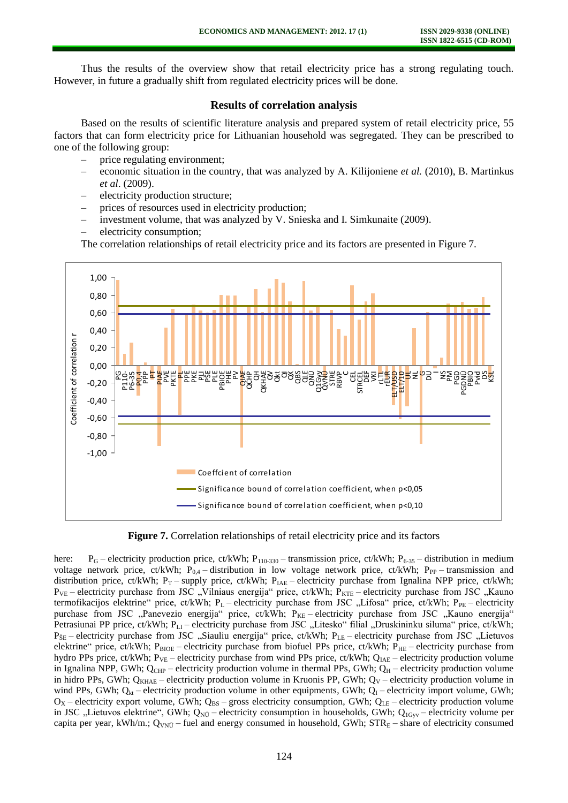Thus the results of the overview show that retail electricity price has a strong regulating touch. However, in future a gradually shift from regulated electricity prices will be done.

# **Results of correlation analysis**

Based on the results of scientific literature analysis and prepared system of retail electricity price, 55 factors that can form electricity price for Lithuanian household was segregated. They can be prescribed to one of the following group:

- price regulating environment;
- economic situation in the country, that was analyzed by A. Kilijoniene *et al.* (2010), B. Martinkus *et al*. (2009).
- electricity production structure;
- prices of resources used in electricity production;
- investment volume, that was analyzed by V. Snieska and I. Simkunaite (2009).
- electricity consumption;

The correlation relationships of retail electricity price and its factors are presented in Figure 7.



**Figure 7.** Correlation relationships of retail electricity price and its factors

here:  $P_G$  – electricity production price, ct/kWh;  $P_{110-330}$  – transmission price, ct/kWh;  $P_{6-35}$  – distribution in medium voltage network price, ct/kWh;  $P_{0,4}$  – distribution in low voltage network price, ct/kWh;  $P_{PP}$  – transmission and distribution price, ct/kWh; P<sub>T</sub> – supply price, ct/kWh; P<sub>IAE</sub> – electricity purchase from Ignalina NPP price, ct/kWh;  $P_{VE}$  – electricity purchase from JSC "Vilniaus energija" price, ct/kWh;  $P_{KTE}$  – electricity purchase from JSC "Kauno termofikacijos elektrine" price, ct/kWh; P<sub>L</sub> – electricity purchase from JSC "Lifosa" price, ct/kWh; P<sub>PE</sub> – electricity purchase from JSC "Panevezio energija" price, ct/kWh; P<sub>KE</sub> – electricity purchase from JSC "Kauno energija" Petrasiunai PP price, ct/kWh; P<sub>LI</sub> – electricity purchase from JSC "Litesko" filial "Druskininku siluma" price, ct/kWh;  $P_{\text{SE}}$  – electricity purchase from JSC "Siauliu energija" price, ct/kWh;  $P_{\text{LE}}$  – electricity purchase from JSC "Lietuvos elektrine" price, ct/kWh;  $P_{BIOE}$  – electricity purchase from biofuel PPs price, ct/kWh;  $P_{HE}$  – electricity purchase from hydro PPs price, ct/kWh;  $P_{VE}$  – electricity purchase from wind PPs price, ct/kWh;  $Q_{IAE}$  – electricity production volume in Ignalina NPP, GWh;  $Q_{CHP}$  – electricity production volume in thermal PPs, GWh;  $Q_H$  – electricity production volume in hidro PPs, GWh;  $Q_{KHAE}$  – electricity production volume in Kruonis PP, GWh;  $Q_V$  – electricity production volume in wind PPs, GWh;  $Q_{kt}$  – electricity production volume in other equipments, GWh;  $Q_1$  – electricity import volume, GWh;  $O_X$  – electricity export volume, GWh;  $Q_{BS}$  – gross electricity consumption, GWh;  $Q_{LE}$  – electricity production volume in JSC "Lietuvos elektrine", GWh;  $Q_{N\bar{U}}$  – electricity consumption in households, GWh;  $Q_{1G_{yV}}$  – electricity volume per capita per year, kWh/m.;  $Q_{VN\bar{U}}$  – fuel and energy consumed in household, GWh; STR<sub>E</sub> – share of electricity consumed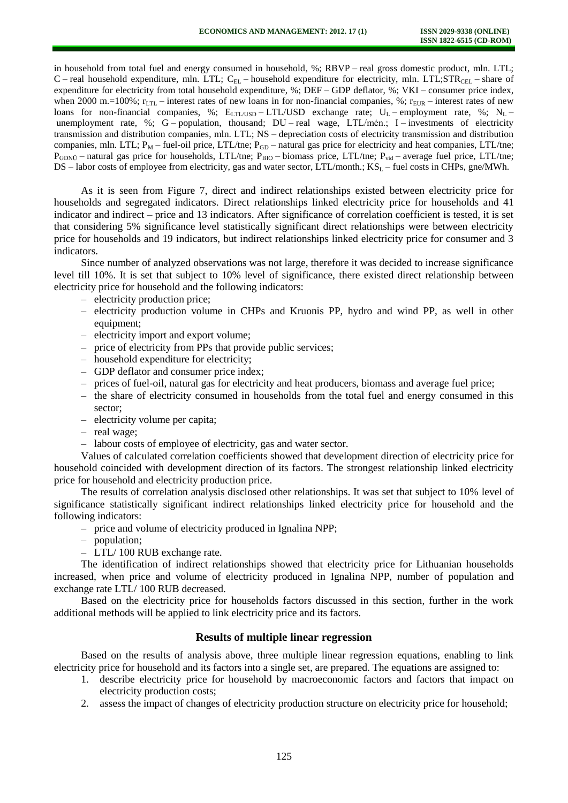in household from total fuel and energy consumed in household, %; RBVP – real gross domestic product, mln. LTL; C – real household expenditure, mln. LTL; C<sub>EL</sub> – household expenditure for electricity, mln. LTL; STR<sub>CEL</sub> – share of expenditure for electricity from total household expenditure, %; DEF – GDP deflator, %; VKI – consumer price index, when 2000 m.=100%;  $r_{\text{LTL}}$  – interest rates of new loans in for non-financial companies, %;  $r_{\text{EUR}}$  – interest rates of new loans for non-financial companies, %;  $E_{\text{LTL/USD}} - \text{LTL/USD}$  exchange rate;  $U_L$  – employment rate, %;  $N_L$  – unemployment rate, %; G – population, thousand;  $DU$  – real wage,  $LTL/m$ èn.; I – investments of electricity transmission and distribution companies, mln. LTL; NS – depreciation costs of electricity transmission and distribution companies, mln. LTL;  $P_M$  – fuel-oil price, LTL/tne;  $P_{GD}$  – natural gas price for electricity and heat companies, LTL/tne;  $P_{GDN\bar{U}}$  – natural gas price for households, LTL/tne;  $P_{BIO}$  – biomass price, LTL/tne;  $P_{vid}$  – average fuel price, LTL/tne; DS – labor costs of employee from electricity, gas and water sector, LTL/month.;  $KS_L$  – fuel costs in CHPs, gne/MWh.

As it is seen from Figure 7, direct and indirect relationships existed between electricity price for households and segregated indicators. Direct relationships linked electricity price for households and 41 indicator and indirect – price and 13 indicators. After significance of correlation coefficient is tested, it is set that considering 5% significance level statistically significant direct relationships were between electricity price for households and 19 indicators, but indirect relationships linked electricity price for consumer and 3 indicators.

Since number of analyzed observations was not large, therefore it was decided to increase significance level till 10%. It is set that subject to 10% level of significance, there existed direct relationship between electricity price for household and the following indicators:

- electricity production price;
- electricity production volume in CHPs and Kruonis PP, hydro and wind PP, as well in other equipment;
- electricity import and export volume;
- price of electricity from PPs that provide public services;
- household expenditure for electricity;
- GDP deflator and consumer price index;
- prices of fuel-oil, natural gas for electricity and heat producers, biomass and average fuel price;
- the share of electricity consumed in households from the total fuel and energy consumed in this sector;
- electricity volume per capita;
- real wage;
- labour costs of employee of electricity, gas and water sector.

Values of calculated correlation coefficients showed that development direction of electricity price for household coincided with development direction of its factors. The strongest relationship linked electricity price for household and electricity production price.

The results of correlation analysis disclosed other relationships. It was set that subject to 10% level of significance statistically significant indirect relationships linked electricity price for household and the following indicators:

- price and volume of electricity produced in Ignalina NPP;
- population;
- LTL/ 100 RUB exchange rate.

The identification of indirect relationships showed that electricity price for Lithuanian households increased, when price and volume of electricity produced in Ignalina NPP, number of population and exchange rate LTL/ 100 RUB decreased.

Based on the electricity price for households factors discussed in this section, further in the work additional methods will be applied to link electricity price and its factors.

#### **Results of multiple linear regression**

Based on the results of analysis above, three multiple linear regression equations, enabling to link electricity price for household and its factors into a single set, are prepared. The equations are assigned to:

- 1. describe electricity price for household by macroeconomic factors and factors that impact on electricity production costs;
- 2. assess the impact of changes of electricity production structure on electricity price for household;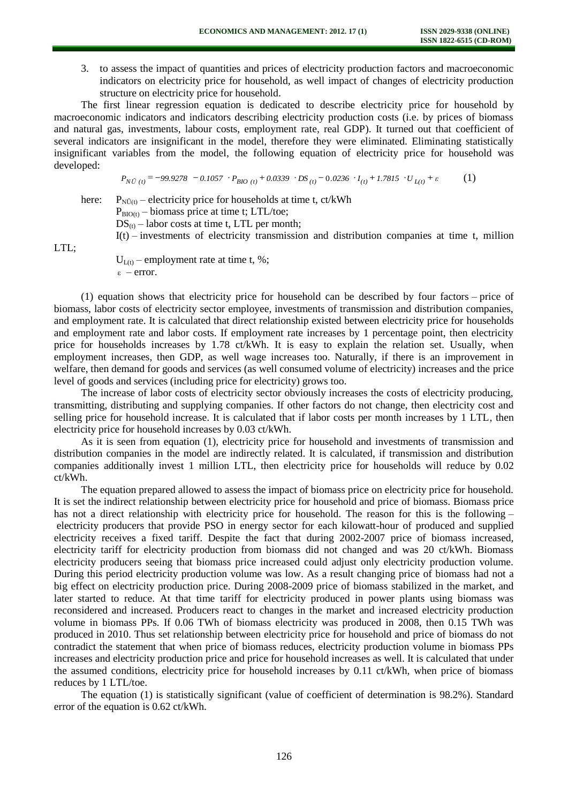3. to assess the impact of quantities and prices of electricity production factors and macroeconomic indicators on electricity price for household, as well impact of changes of electricity production structure on electricity price for household.

The first linear regression equation is dedicated to describe electricity price for household by macroeconomic indicators and indicators describing electricity production costs (i.e. by prices of biomass and natural gas, investments, labour costs, employment rate, real GDP). It turned out that coefficient of several indicators are insignificant in the model, therefore they were eliminated. Eliminating statistically insignificant variables from the model, the following equation of electricity price for household was developed:

$$
P_{N\bar{U}(t)} = -99.9278 - 0.1057 \cdot P_{BIO(t)} + 0.0339 \cdot DS_{(t)} - 0.0236 \cdot I_{(t)} + 1.7815 \cdot U_{L(t)} + \varepsilon \tag{1}
$$

here:  $P_{N\bar{U}(t)}$  – electricity price for households at time t, ct/kWh

 $P_{BIO(t)} - \text{biomass price at time t}; LTL/toe;$ 

 $DS_{(t)} -$ labor costs at time t, LTL per month;

 $I(t)$  – investments of electricity transmission and distribution companies at time t, million

LTL:

 $U_{L(t)}$  – employment rate at time t, %; ε – error.

(1) equation shows that electricity price for household can be described by four factors – price of biomass, labor costs of electricity sector employee, investments of transmission and distribution companies, and employment rate. It is calculated that direct relationship existed between electricity price for households and employment rate and labor costs. If employment rate increases by 1 percentage point, then electricity price for households increases by 1.78 ct/kWh. It is easy to explain the relation set. Usually, when employment increases, then GDP, as well wage increases too. Naturally, if there is an improvement in welfare, then demand for goods and services (as well consumed volume of electricity) increases and the price level of goods and services (including price for electricity) grows too.

The increase of labor costs of electricity sector obviously increases the costs of electricity producing, transmitting, distributing and supplying companies. If other factors do not change, then electricity cost and selling price for household increase. It is calculated that if labor costs per month increases by 1 LTL, then electricity price for household increases by 0.03 ct/kWh.

As it is seen from equation (1), electricity price for household and investments of transmission and distribution companies in the model are indirectly related. It is calculated, if transmission and distribution companies additionally invest 1 million LTL, then electricity price for households will reduce by 0.02 ct/kWh.

The equation prepared allowed to assess the impact of biomass price on electricity price for household. It is set the indirect relationship between electricity price for household and price of biomass. Biomass price has not a direct relationship with electricity price for household. The reason for this is the following – electricity producers that provide PSO in energy sector for each kilowatt-hour of produced and supplied electricity receives a fixed tariff. Despite the fact that during 2002-2007 price of biomass increased, electricity tariff for electricity production from biomass did not changed and was 20 ct/kWh. Biomass electricity producers seeing that biomass price increased could adjust only electricity production volume. During this period electricity production volume was low. As a result changing price of biomass had not a big effect on electricity production price. During 2008-2009 price of biomass stabilized in the market, and later started to reduce. At that time tariff for electricity produced in power plants using biomass was reconsidered and increased. Producers react to changes in the market and increased electricity production volume in biomass PPs. If 0.06 TWh of biomass electricity was produced in 2008, then 0.15 TWh was produced in 2010. Thus set relationship between electricity price for household and price of biomass do not contradict the statement that when price of biomass reduces, electricity production volume in biomass PPs increases and electricity production price and price for household increases as well. It is calculated that under the assumed conditions, electricity price for household increases by 0.11 ct/kWh, when price of biomass reduces by 1 LTL/toe.

The equation (1) is statistically significant (value of coefficient of determination is 98.2%). Standard error of the equation is 0.62 ct/kWh.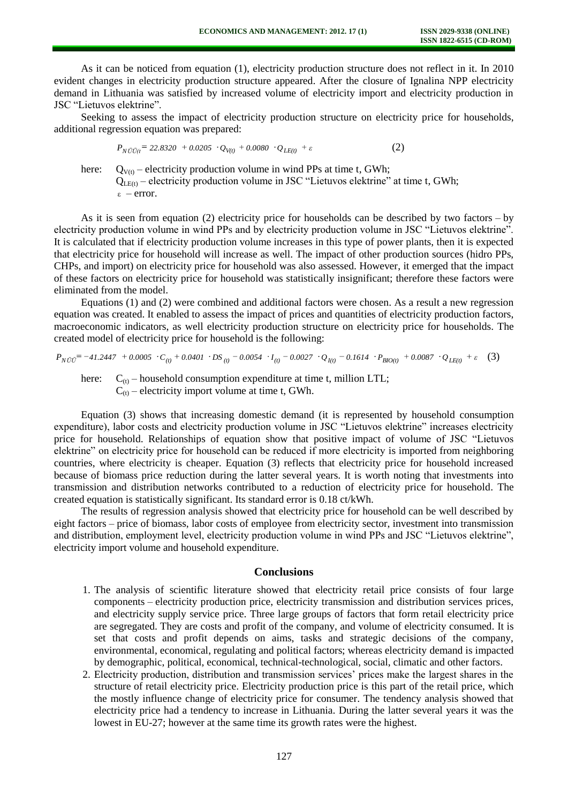As it can be noticed from equation (1), electricity production structure does not reflect in it. In 2010 evident changes in electricity production structure appeared. After the closure of Ignalina NPP electricity demand in Lithuania was satisfied by increased volume of electricity import and electricity production in JSC "Lietuvos elektrine".

Seeking to assess the impact of electricity production structure on electricity price for households, additional regression equation was prepared:

$$
P_{N\bar{U}\bar{U}(t)} = 22.8320 + 0.0205 \cdot Q_{V(t)} + 0.0080 \cdot Q_{LE(t)} + \varepsilon
$$
 (2)

here:  $Q_{V(t)}$  – electricity production volume in wind PPs at time t, GWh;  $Q<sub>LE(t)</sub>$  – electricity production volume in JSC "Lietuvos elektrine" at time t, GWh; ε – error.

As it is seen from equation (2) electricity price for households can be described by two factors – by electricity production volume in wind PPs and by electricity production volume in JSC "Lietuvos elektrine". It is calculated that if electricity production volume increases in this type of power plants, then it is expected that electricity price for household will increase as well. The impact of other production sources (hidro PPs, CHPs, and import) on electricity price for household was also assessed. However, it emerged that the impact of these factors on electricity price for household was statistically insignificant; therefore these factors were eliminated from the model.

Equations (1) and (2) were combined and additional factors were chosen. As a result a new regression equation was created. It enabled to assess the impact of prices and quantities of electricity production factors, macroeconomic indicators, as well electricity production structure on electricity price for households. The created model of electricity price for household is the following:

$$
P_{N\bar{U}\bar{U}} = -41.2447 + 0.0005 \cdot C_{(t)} + 0.0401 \cdot DS_{(t)} - 0.0054 \cdot I_{(t)} - 0.0027 \cdot Q_{I(t)} - 0.1614 \cdot P_{BIO(t)} + 0.0087 \cdot Q_{LE(t)} + \varepsilon
$$
 (3)

here:  $C_{(t)}$  – household consumption expenditure at time t, million LTL;  $C_{(t)}$  – electricity import volume at time t, GWh.

Equation (3) shows that increasing domestic demand (it is represented by household consumption expenditure), labor costs and electricity production volume in JSC "Lietuvos elektrine" increases electricity price for household. Relationships of equation show that positive impact of volume of JSC "Lietuvos elektrine" on electricity price for household can be reduced if more electricity is imported from neighboring countries, where electricity is cheaper. Equation (3) reflects that electricity price for household increased because of biomass price reduction during the latter several years. It is worth noting that investments into transmission and distribution networks contributed to a reduction of electricity price for household. The created equation is statistically significant. Its standard error is 0.18 ct/kWh.

The results of regression analysis showed that electricity price for household can be well described by eight factors – price of biomass, labor costs of employee from electricity sector, investment into transmission and distribution, employment level, electricity production volume in wind PPs and JSC "Lietuvos elektrine", electricity import volume and household expenditure.

### **Conclusions**

- 1. The analysis of scientific literature showed that electricity retail price consists of four large components – electricity production price, electricity transmission and distribution services prices, and electricity supply service price. Three large groups of factors that form retail electricity price are segregated. They are costs and profit of the company, and volume of electricity consumed. It is set that costs and profit depends on aims, tasks and strategic decisions of the company, environmental, economical, regulating and political factors; whereas electricity demand is impacted by demographic, political, economical, technical-technological, social, climatic and other factors.
- 2. Electricity production, distribution and transmission services' prices make the largest shares in the structure of retail electricity price. Electricity production price is this part of the retail price, which the mostly influence change of electricity price for consumer. The tendency analysis showed that electricity price had a tendency to increase in Lithuania. During the latter several years it was the lowest in EU-27; however at the same time its growth rates were the highest.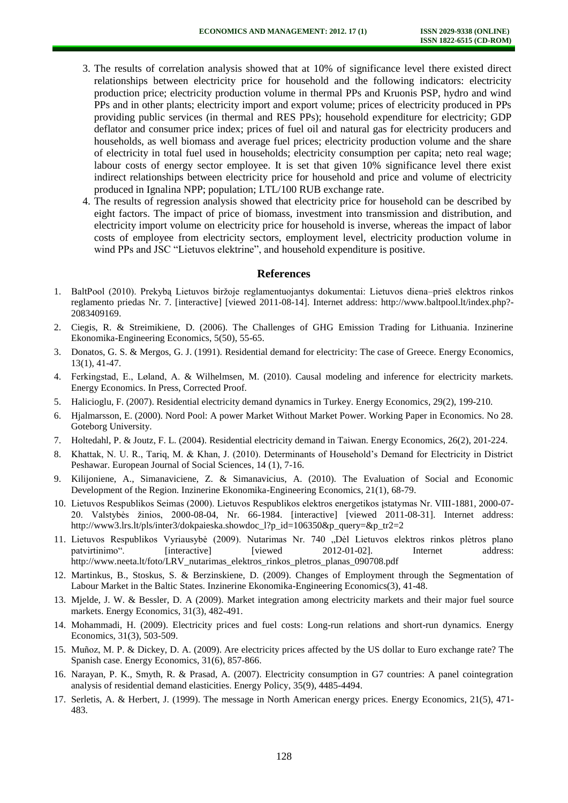- 3. The results of correlation analysis showed that at 10% of significance level there existed direct relationships between electricity price for household and the following indicators: electricity production price; electricity production volume in thermal PPs and Kruonis PSP, hydro and wind PPs and in other plants; electricity import and export volume; prices of electricity produced in PPs providing public services (in thermal and RES PPs); household expenditure for electricity; GDP deflator and consumer price index; prices of fuel oil and natural gas for electricity producers and households, as well biomass and average fuel prices; electricity production volume and the share of electricity in total fuel used in households; electricity consumption per capita; neto real wage; labour costs of energy sector employee. It is set that given 10% significance level there exist indirect relationships between electricity price for household and price and volume of electricity produced in Ignalina NPP; population; LTL/100 RUB exchange rate.
- 4. The results of regression analysis showed that electricity price for household can be described by eight factors. The impact of price of biomass, investment into transmission and distribution, and electricity import volume on electricity price for household is inverse, whereas the impact of labor costs of employee from electricity sectors, employment level, electricity production volume in wind PPs and JSC "Lietuvos elektrine", and household expenditure is positive.

### **References**

- 1. BaltPool (2010). Prekybą Lietuvos biržoje reglamentuojantys dokumentai: Lietuvos diena–prieš elektros rinkos reglamento priedas Nr. 7. [interactive] [viewed 2011-08-14]. Internet address: [http://www.baltpool.lt/index.php?-](http://www.baltpool.lt/index.php?-2083409169) [2083409169.](http://www.baltpool.lt/index.php?-2083409169)
- 2. Ciegis, R. & Streimikiene, D. (2006). The Challenges of GHG Emission Trading for Lithuania. Inzinerine Ekonomika-Engineering Economics, 5(50), 55-65.
- 3. Donatos, G. S. & Mergos, G. J. (1991). Residential demand for electricity: The case of Greece. Energy Economics, 13(1), 41-47.
- 4. Ferkingstad, E., Løland, A. & Wilhelmsen, M. (2010). Causal modeling and inference for electricity markets. Energy Economics. In Press, Corrected Proof.
- 5. Halicioglu, F. (2007). Residential electricity demand dynamics in Turkey. Energy Economics, 29(2), 199-210.
- 6. Hjalmarsson, E. (2000). Nord Pool: A power Market Without Market Power. Working Paper in Economics. No 28. Goteborg University.
- 7. Holtedahl, P. & Joutz, F. L. (2004). Residential electricity demand in Taiwan. Energy Economics, 26(2), 201-224.
- 8. Khattak, N. U. R., Tariq, M. & Khan, J. (2010). Determinants of Household's Demand for Electricity in District Peshawar. European Journal of Social Sciences, 14 (1), 7-16.
- 9. Kilijoniene, A., Simanaviciene, Z. & Simanavicius, A. (2010). The Evaluation of Social and Economic Development of the Region. Inzinerine Ekonomika-Engineering Economics, 21(1), 68-79.
- 10. Lietuvos Respublikos Seimas (2000). Lietuvos Respublikos elektros energetikos įstatymas Nr. VIII-1881, 2000-07- 20. Valstybės žinios, 2000-08-04, Nr. 66-1984. [interactive] [viewed 2011-08-31]. Internet address: [http://www3.lrs.lt/pls/inter3/dokpaieska.showdoc\\_l?p\\_id=106350&p\\_query=&p\\_tr2=2](http://www3.lrs.lt/pls/inter3/dokpaieska.showdoc_l?p_id=106350&p_query=&p_tr2=2)
- 11. Lietuvos Respublikos Vyriausybė (2009). Nutarimas Nr. 740 "Dėl Lietuvos elektros rinkos plėtros plano patvirtinimo". [interactive] [viewed 2012-01-02]. Internet address: [http://www.neeta.lt/foto/LRV\\_nutarimas\\_elektros\\_rinkos\\_pletros\\_planas\\_090708.pdf](http://www.neeta.lt/foto/LRV_nutarimas_elektros_rinkos_pletros_planas_090708.pdf)
- 12. Martinkus, B., Stoskus, S. & Berzinskiene, D. (2009). Changes of Employment through the Segmentation of Labour Market in the Baltic States. Inzinerine Ekonomika-Engineering Economics(3), 41-48.
- 13. Mjelde, J. W. & Bessler, D. A (2009). Market integration among electricity markets and their major fuel source markets. Energy Economics, 31(3), 482-491.
- 14. Mohammadi, H. (2009). Electricity prices and fuel costs: Long-run relations and short-run dynamics. Energy Economics, 31(3), 503-509.
- 15. Muñoz, M. P. & Dickey, D. A. (2009). Are electricity prices affected by the US dollar to Euro exchange rate? The Spanish case. Energy Economics, 31(6), 857-866.
- 16. Narayan, P. K., Smyth, R. & Prasad, A. (2007). Electricity consumption in G7 countries: A panel cointegration analysis of residential demand elasticities. Energy Policy, 35(9), 4485-4494.
- 17. Serletis, A. & Herbert, J. (1999). The message in North American energy prices. Energy Economics, 21(5), 471- 483.